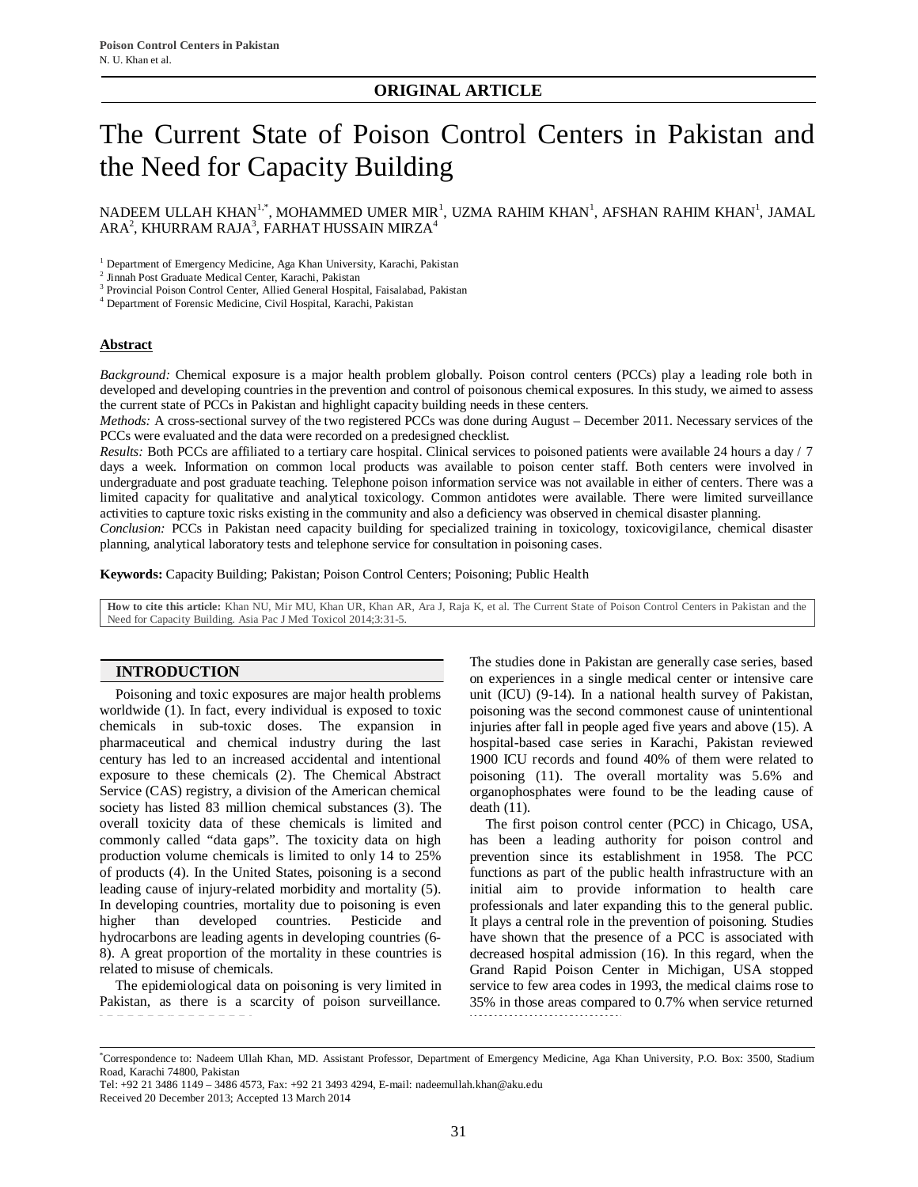# The Current State of Poison Control Centers in Pakistan and the Need for Capacity Building

NADEEM ULLAH KHAN $^{1,\ast}$ , MOHAMMED UMER MIR $^1$ , UZMA RAHIM KHAN $^1$ , AFSHAN RAHIM KHAN $^1$ , JAMAL ARA $^2$ , KHURRAM RAJA $^3$ , FARHAT HUSSAIN MIRZA $^4$ 

<sup>1</sup> Department of Emergency Medicine, Aga Khan University, Karachi, Pakistan

2 Jinnah Post Graduate Medical Center, Karachi, Pakistan

<sup>3</sup> Provincial Poison Control Center, Allied General Hospital, Faisalabad, Pakistan

4 Department of Forensic Medicine, Civil Hospital, Karachi, Pakistan

#### **Abstract**

*Background:* Chemical exposure is a major health problem globally. Poison control centers (PCCs) play a leading role both in developed and developing countries in the prevention and control of poisonous chemical exposures. In this study, we aimed to assess the current state of PCCs in Pakistan and highlight capacity building needs in these centers.

*Methods:* A cross-sectional survey of the two registered PCCs was done during August – December 2011. Necessary services of the PCCs were evaluated and the data were recorded on a predesigned checklist.

*Results:* Both PCCs are affiliated to a tertiary care hospital. Clinical services to poisoned patients were available 24 hours a day / 7 days a week. Information on common local products was available to poison center staff. Both centers were involved in undergraduate and post graduate teaching. Telephone poison information service was not available in either of centers. There was a limited capacity for qualitative and analytical toxicology. Common antidotes were available. There were limited surveillance activities to capture toxic risks existing in the community and also a deficiency was observed in chemical disaster planning.

*Conclusion:* PCCs in Pakistan need capacity building for specialized training in toxicology, toxicovigilance, chemical disaster planning, analytical laboratory tests and telephone service for consultation in poisoning cases.

**Keywords:** Capacity Building; Pakistan; Poison Control Centers; Poisoning; Public Health

**How to cite this article:** Khan NU, Mir MU, Khan UR, Khan AR, Ara J, Raja K, et al. The Current State of Poison Control Centers in Pakistan and the Need for Capacity Building. Asia Pac J Med Toxicol 2014;3:31-5.

## **INTRODUCTION**

Poisoning and toxic exposures are major health problems worldwide (1). In fact, every individual is exposed to toxic chemicals in sub-toxic doses. The expansion in pharmaceutical and chemical industry during the last century has led to an increased accidental and intentional exposure to these chemicals (2). The Chemical Abstract Service (CAS) registry, a division of the American chemical society has listed 83 million chemical substances (3). The overall toxicity data of these chemicals is limited and commonly called "data gaps". The toxicity data on high production volume chemicals is limited to only 14 to 25% of products (4). In the United States, poisoning is a second leading cause of injury-related morbidity and mortality (5). In developing countries, mortality due to poisoning is even higher than developed countries. Pesticide and hydrocarbons are leading agents in developing countries (6- 8). A great proportion of the mortality in these countries is related to misuse of chemicals.

The epidemiological data on poisoning is very limited in Pakistan, as there is a scarcity of poison surveillance.

The studies done in Pakistan are generally case series, based on experiences in a single medical center or intensive care unit (ICU) (9-14). In a national health survey of Pakistan, poisoning was the second commonest cause of unintentional injuries after fall in people aged five years and above (15). A hospital-based case series in Karachi, Pakistan reviewed 1900 ICU records and found 40% of them were related to poisoning (11). The overall mortality was 5.6% and organophosphates were found to be the leading cause of death (11).

The first poison control center (PCC) in Chicago, USA, has been a leading authority for poison control and prevention since its establishment in 1958. The PCC functions as part of the public health infrastructure with an initial aim to provide information to health care professionals and later expanding this to the general public. It plays a central role in the prevention of poisoning. Studies have shown that the presence of a PCC is associated with decreased hospital admission (16). In this regard, when the Grand Rapid Poison Center in Michigan, USA stopped service to few area codes in 1993, the medical claims rose to 35% in those areas compared to 0.7% when service returned wwwwwwwwwwwwwww

<sup>\*</sup>Correspondence to: Nadeem Ullah Khan, MD. Assistant Professor, Department of Emergency Medicine, Aga Khan University, P.O. Box: 3500, Stadium Road, Karachi 74800, Pakistan

Tel: +92 21 3486 1149 – 3486 4573, Fax: +92 21 3493 4294, E-mail: nadeemullah.khan@aku.edu Received 20 December 2013; Accepted 13 March 2014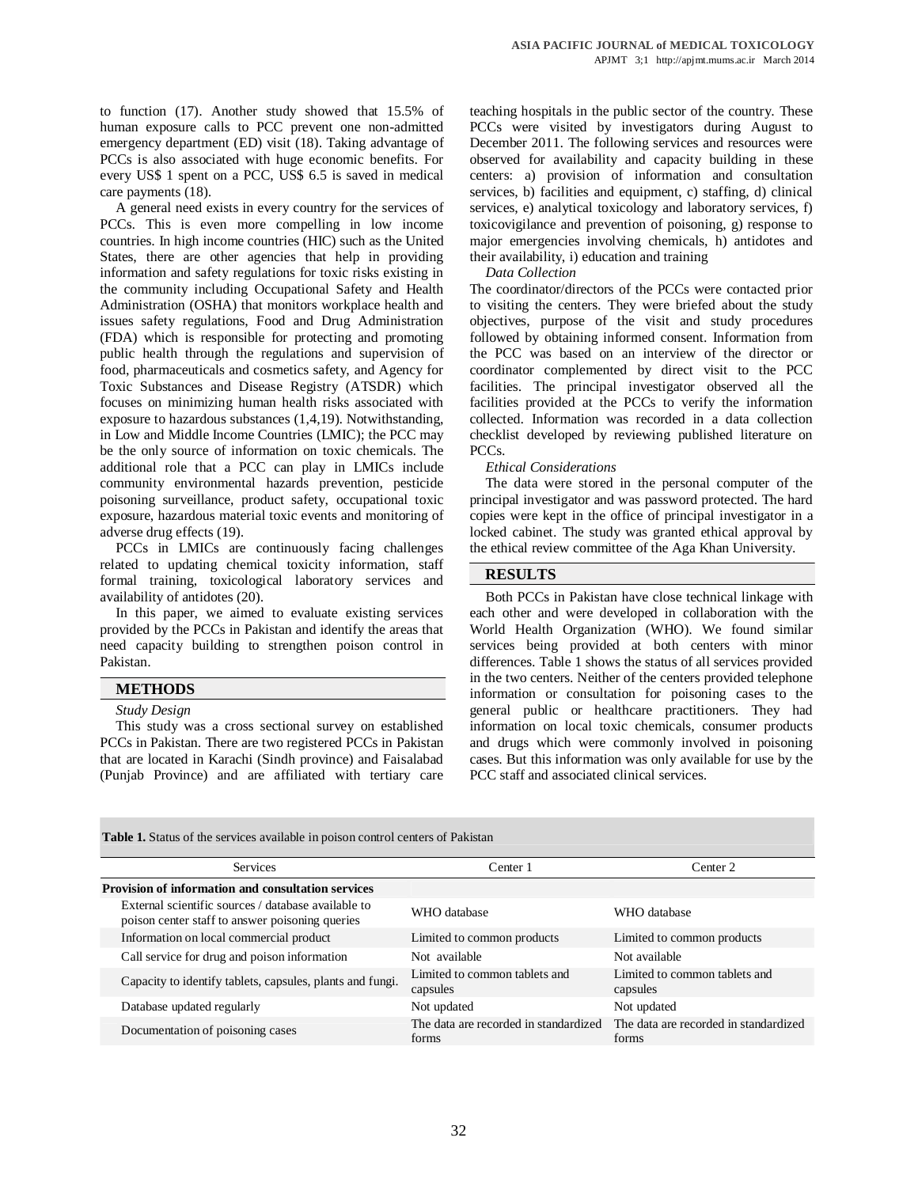to function (17). Another study showed that 15.5% of human exposure calls to PCC prevent one non-admitted emergency department (ED) visit (18). Taking advantage of PCCs is also associated with huge economic benefits. For every US\$ 1 spent on a PCC, US\$ 6.5 is saved in medical care payments (18).

A general need exists in every country for the services of PCCs. This is even more compelling in low income countries. In high income countries (HIC) such as the United States, there are other agencies that help in providing information and safety regulations for toxic risks existing in the community including Occupational Safety and Health Administration (OSHA) that monitors workplace health and issues safety regulations, Food and Drug Administration (FDA) which is responsible for protecting and promoting public health through the regulations and supervision of food, pharmaceuticals and cosmetics safety, and Agency for Toxic Substances and Disease Registry (ATSDR) which focuses on minimizing human health risks associated with exposure to hazardous substances (1,4,19). Notwithstanding, in Low and Middle Income Countries (LMIC); the PCC may be the only source of information on toxic chemicals. The additional role that a PCC can play in LMICs include community environmental hazards prevention, pesticide poisoning surveillance, product safety, occupational toxic exposure, hazardous material toxic events and monitoring of adverse drug effects (19).

PCCs in LMICs are continuously facing challenges related to updating chemical toxicity information, staff formal training, toxicological laboratory services and availability of antidotes (20).

In this paper, we aimed to evaluate existing services provided by the PCCs in Pakistan and identify the areas that need capacity building to strengthen poison control in Pakistan.

## **METHODS**

*Study Design*

This study was a cross sectional survey on established PCCs in Pakistan. There are two registered PCCs in Pakistan that are located in Karachi (Sindh province) and Faisalabad (Punjab Province) and are affiliated with tertiary care

teaching hospitals in the public sector of the country. These PCCs were visited by investigators during August to December 2011. The following services and resources were observed for availability and capacity building in these centers: a) provision of information and consultation services, b) facilities and equipment, c) staffing, d) clinical services, e) analytical toxicology and laboratory services, f) toxicovigilance and prevention of poisoning, g) response to major emergencies involving chemicals, h) antidotes and their availability, i) education and training

### *Data Collection*

The coordinator/directors of the PCCs were contacted prior to visiting the centers. They were briefed about the study objectives, purpose of the visit and study procedures followed by obtaining informed consent. Information from the PCC was based on an interview of the director or coordinator complemented by direct visit to the PCC facilities. The principal investigator observed all the facilities provided at the PCCs to verify the information collected. Information was recorded in a data collection checklist developed by reviewing published literature on PCCs.

## *Ethical Considerations*

The data were stored in the personal computer of the principal investigator and was password protected. The hard copies were kept in the office of principal investigator in a locked cabinet. The study was granted ethical approval by the ethical review committee of the Aga Khan University.

## **RESULTS**

Both PCCs in Pakistan have close technical linkage with each other and were developed in collaboration with the World Health Organization (WHO). We found similar services being provided at both centers with minor differences. Table 1 shows the status of all services provided in the two centers. Neither of the centers provided telephone information or consultation for poisoning cases to the general public or healthcare practitioners. They had information on local toxic chemicals, consumer products and drugs which were commonly involved in poisoning cases. But this information was only available for use by the PCC staff and associated clinical services.

|                                                           | <b>Table 1.</b> Status of the services available in poison control centers of Pakistan                 |                                                |                                                |  |
|-----------------------------------------------------------|--------------------------------------------------------------------------------------------------------|------------------------------------------------|------------------------------------------------|--|
|                                                           | <b>Services</b>                                                                                        | Center 1                                       | Center 2                                       |  |
| <b>Provision of information and consultation services</b> |                                                                                                        |                                                |                                                |  |
|                                                           | External scientific sources / database available to<br>poison center staff to answer poisoning queries | WHO database                                   | WHO database                                   |  |
|                                                           | Information on local commercial product                                                                | Limited to common products                     | Limited to common products                     |  |
|                                                           | Call service for drug and poison information                                                           | Not available                                  | Not available                                  |  |
|                                                           | Capacity to identify tablets, capsules, plants and fungi.                                              | Limited to common tablets and<br>capsules      | Limited to common tablets and<br>capsules      |  |
|                                                           | Database updated regularly                                                                             | Not updated                                    | Not updated                                    |  |
|                                                           | Documentation of poisoning cases                                                                       | The data are recorded in standardized<br>forms | The data are recorded in standardized<br>forms |  |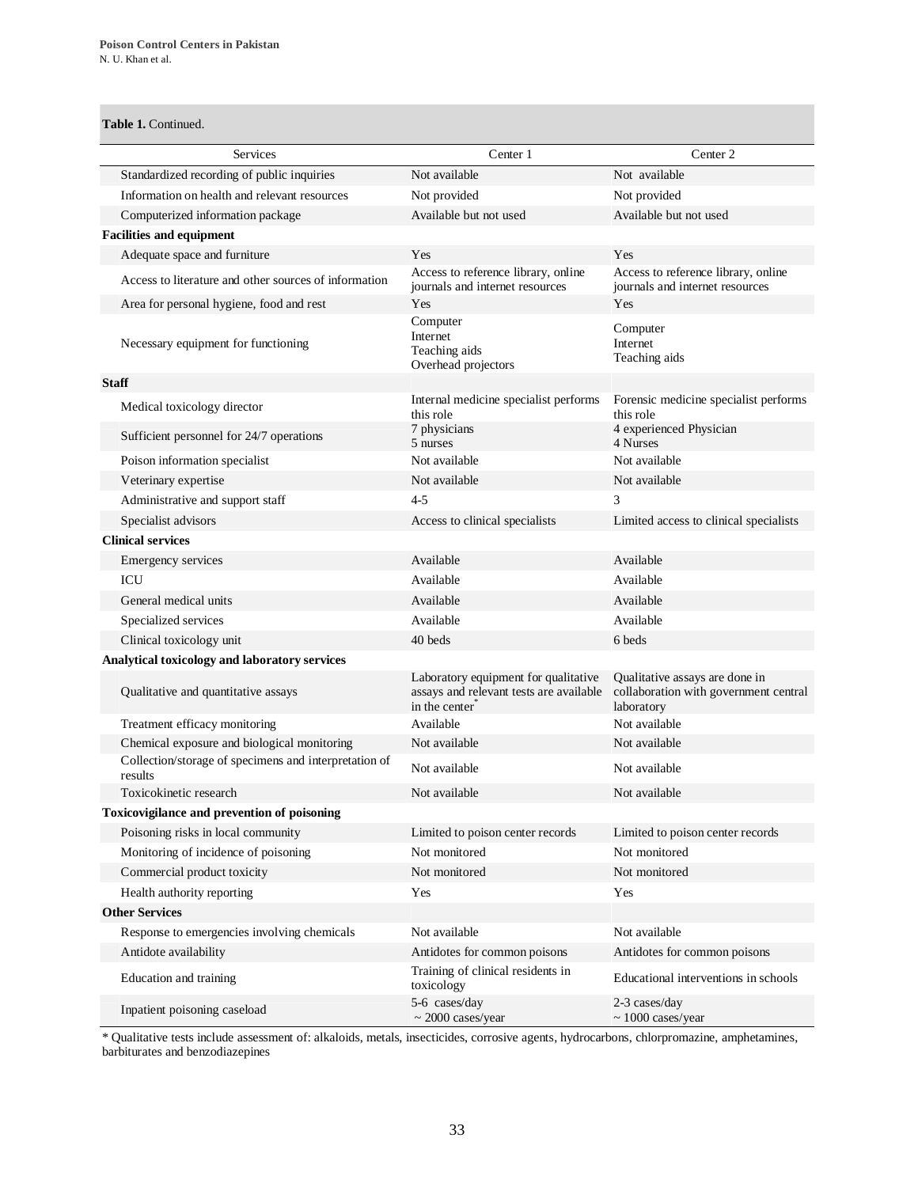## **Table 1.** Continued.

| Services                                                         | Center 1                                                                                         | Center 2                                                                              |
|------------------------------------------------------------------|--------------------------------------------------------------------------------------------------|---------------------------------------------------------------------------------------|
| Standardized recording of public inquiries                       | Not available                                                                                    | Not available                                                                         |
| Information on health and relevant resources                     | Not provided                                                                                     | Not provided                                                                          |
| Computerized information package                                 | Available but not used                                                                           | Available but not used                                                                |
| <b>Facilities and equipment</b>                                  |                                                                                                  |                                                                                       |
| Adequate space and furniture                                     | Yes                                                                                              | Yes                                                                                   |
| Access to literature and other sources of information            | Access to reference library, online<br>journals and internet resources                           | Access to reference library, online<br>journals and internet resources                |
| Area for personal hygiene, food and rest                         | Yes                                                                                              | Yes                                                                                   |
| Necessary equipment for functioning                              | Computer<br>Internet<br>Teaching aids<br>Overhead projectors                                     | Computer<br>Internet<br>Teaching aids                                                 |
| <b>Staff</b>                                                     |                                                                                                  |                                                                                       |
| Medical toxicology director                                      | Internal medicine specialist performs<br>this role                                               | Forensic medicine specialist performs<br>this role                                    |
| Sufficient personnel for 24/7 operations                         | 7 physicians<br>5 nurses                                                                         | 4 experienced Physician<br>4 Nurses                                                   |
| Poison information specialist                                    | Not available                                                                                    | Not available                                                                         |
| Veterinary expertise                                             | Not available                                                                                    | Not available                                                                         |
| Administrative and support staff                                 | $4 - 5$                                                                                          | 3                                                                                     |
| Specialist advisors                                              | Access to clinical specialists                                                                   | Limited access to clinical specialists                                                |
| <b>Clinical services</b>                                         |                                                                                                  |                                                                                       |
| Emergency services                                               | Available                                                                                        | Available                                                                             |
| ICU                                                              | Available                                                                                        | Available                                                                             |
| General medical units                                            | Available                                                                                        | Available                                                                             |
| Specialized services                                             | Available                                                                                        | Available                                                                             |
| Clinical toxicology unit                                         | 40 beds                                                                                          | 6 beds                                                                                |
| Analytical toxicology and laboratory services                    |                                                                                                  |                                                                                       |
| Qualitative and quantitative assays                              | Laboratory equipment for qualitative<br>assays and relevant tests are available<br>in the center | Qualitative assays are done in<br>collaboration with government central<br>laboratory |
| Treatment efficacy monitoring                                    | Available                                                                                        | Not available                                                                         |
| Chemical exposure and biological monitoring                      | Not available                                                                                    | Not available                                                                         |
| Collection/storage of specimens and interpretation of<br>results | Not available                                                                                    | Not available                                                                         |
| Toxicokinetic research                                           | Not available                                                                                    | Not available                                                                         |
| Toxicovigilance and prevention of poisoning                      |                                                                                                  |                                                                                       |
| Poisoning risks in local community                               | Limited to poison center records                                                                 | Limited to poison center records                                                      |
| Monitoring of incidence of poisoning                             | Not monitored                                                                                    | Not monitored                                                                         |
| Commercial product toxicity                                      | Not monitored                                                                                    | Not monitored                                                                         |
| Health authority reporting                                       | Yes                                                                                              | Yes                                                                                   |
| <b>Other Services</b>                                            |                                                                                                  |                                                                                       |
| Response to emergencies involving chemicals                      | Not available                                                                                    | Not available                                                                         |
| Antidote availability                                            | Antidotes for common poisons                                                                     | Antidotes for common poisons                                                          |
| Education and training                                           | Training of clinical residents in<br>toxicology                                                  | Educational interventions in schools                                                  |
| Inpatient poisoning caseload                                     | 5-6 cases/day<br>$\sim 2000$ cases/year                                                          | 2-3 cases/day<br>$\sim 1000$ cases/year                                               |

\* Qualitative tests include assessment of: alkaloids, metals, insecticides, corrosive agents, hydrocarbons, chlorpromazine, amphetamines, barbiturates and benzodiazepines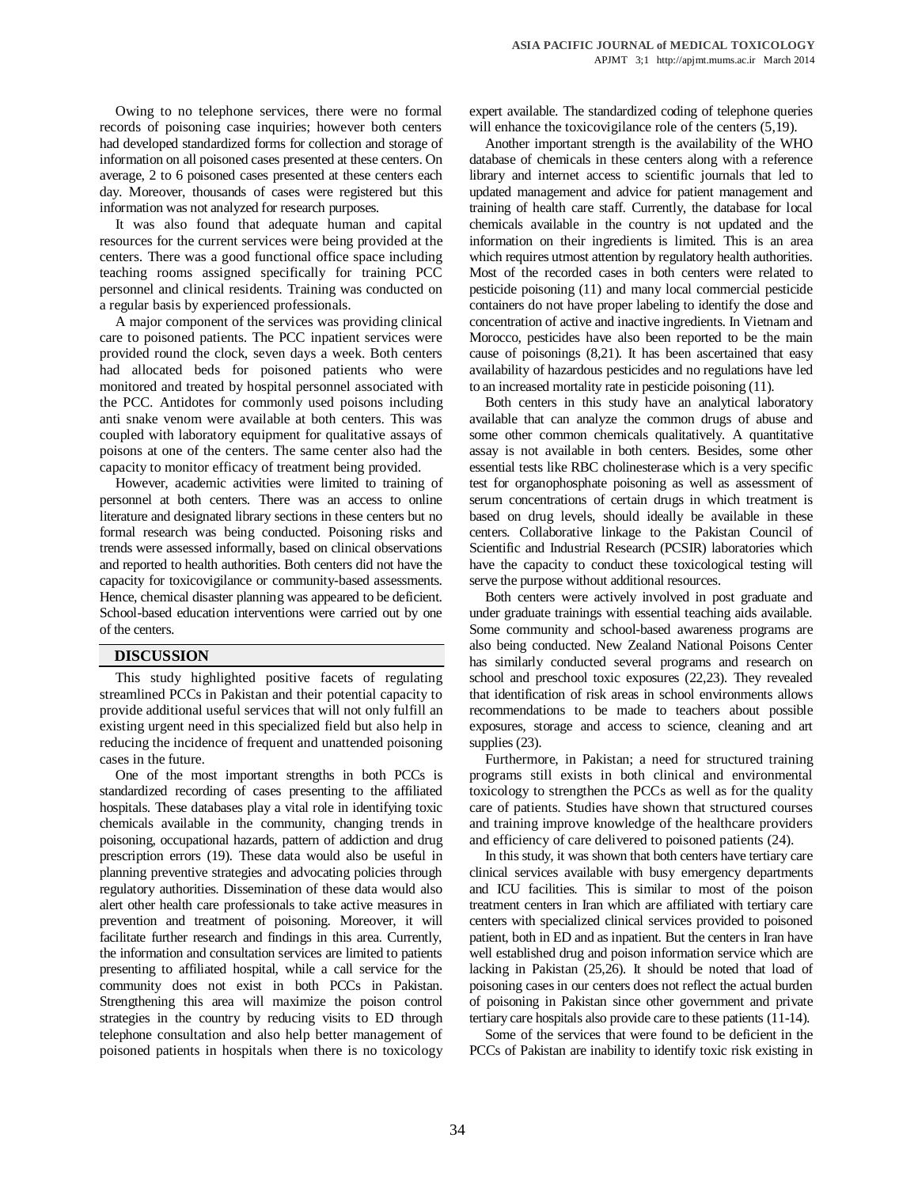Owing to no telephone services, there were no formal records of poisoning case inquiries; however both centers had developed standardized forms for collection and storage of information on all poisoned cases presented at these centers. On average, 2 to 6 poisoned cases presented at these centers each day. Moreover, thousands of cases were registered but this information was not analyzed for research purposes.

It was also found that adequate human and capital resources for the current services were being provided at the centers. There was a good functional office space including teaching rooms assigned specifically for training PCC personnel and clinical residents. Training was conducted on a regular basis by experienced professionals.

A major component of the services was providing clinical care to poisoned patients. The PCC inpatient services were provided round the clock, seven days a week. Both centers had allocated beds for poisoned patients who were monitored and treated by hospital personnel associated with the PCC. Antidotes for commonly used poisons including anti snake venom were available at both centers. This was coupled with laboratory equipment for qualitative assays of poisons at one of the centers. The same center also had the capacity to monitor efficacy of treatment being provided.

However, academic activities were limited to training of personnel at both centers. There was an access to online literature and designated library sections in these centers but no formal research was being conducted. Poisoning risks and trends were assessed informally, based on clinical observations and reported to health authorities. Both centers did not have the capacity for toxicovigilance or community-based assessments. Hence, chemical disaster planning was appeared to be deficient. School-based education interventions were carried out by one of the centers.

## **DISCUSSION**

This study highlighted positive facets of regulating streamlined PCCs in Pakistan and their potential capacity to provide additional useful services that will not only fulfill an existing urgent need in this specialized field but also help in reducing the incidence of frequent and unattended poisoning cases in the future.

One of the most important strengths in both PCCs is standardized recording of cases presenting to the affiliated hospitals. These databases play a vital role in identifying toxic chemicals available in the community, changing trends in poisoning, occupational hazards, pattern of addiction and drug prescription errors (19). These data would also be useful in planning preventive strategies and advocating policies through regulatory authorities. Dissemination of these data would also alert other health care professionals to take active measures in prevention and treatment of poisoning. Moreover, it will facilitate further research and findings in this area. Currently, the information and consultation services are limited to patients presenting to affiliated hospital, while a call service for the community does not exist in both PCCs in Pakistan. Strengthening this area will maximize the poison control strategies in the country by reducing visits to ED through telephone consultation and also help better management of poisoned patients in hospitals when there is no toxicology

expert available. The standardized coding of telephone queries will enhance the toxicovigilance role of the centers  $(5,19)$ .

Another important strength is the availability of the WHO database of chemicals in these centers along with a reference library and internet access to scientific journals that led to updated management and advice for patient management and training of health care staff. Currently, the database for local chemicals available in the country is not updated and the information on their ingredients is limited. This is an area which requires utmost attention by regulatory health authorities. Most of the recorded cases in both centers were related to pesticide poisoning (11) and many local commercial pesticide containers do not have proper labeling to identify the dose and concentration of active and inactive ingredients. In Vietnam and Morocco, pesticides have also been reported to be the main cause of poisonings (8,21). It has been ascertained that easy availability of hazardous pesticides and no regulations have led to an increased mortality rate in pesticide poisoning (11).

Both centers in this study have an analytical laboratory available that can analyze the common drugs of abuse and some other common chemicals qualitatively. A quantitative assay is not available in both centers. Besides, some other essential tests like RBC cholinesterase which is a very specific test for organophosphate poisoning as well as assessment of serum concentrations of certain drugs in which treatment is based on drug levels, should ideally be available in these centers. Collaborative linkage to the Pakistan Council of Scientific and Industrial Research (PCSIR) laboratories which have the capacity to conduct these toxicological testing will serve the purpose without additional resources.

Both centers were actively involved in post graduate and under graduate trainings with essential teaching aids available. Some community and school-based awareness programs are also being conducted. New Zealand National Poisons Center has similarly conducted several programs and research on school and preschool toxic exposures (22,23). They revealed that identification of risk areas in school environments allows recommendations to be made to teachers about possible exposures, storage and access to science, cleaning and art supplies (23).

Furthermore, in Pakistan; a need for structured training programs still exists in both clinical and environmental toxicology to strengthen the PCCs as well as for the quality care of patients. Studies have shown that structured courses and training improve knowledge of the healthcare providers and efficiency of care delivered to poisoned patients (24).

In this study, it was shown that both centers have tertiary care clinical services available with busy emergency departments and ICU facilities. This is similar to most of the poison treatment centers in Iran which are affiliated with tertiary care centers with specialized clinical services provided to poisoned patient, both in ED and as inpatient. But the centers in Iran have well established drug and poison information service which are lacking in Pakistan (25,26). It should be noted that load of poisoning cases in our centers does not reflect the actual burden of poisoning in Pakistan since other government and private tertiary care hospitals also provide care to these patients (11-14).

Some of the services that were found to be deficient in the PCCs of Pakistan are inability to identify toxic risk existing in